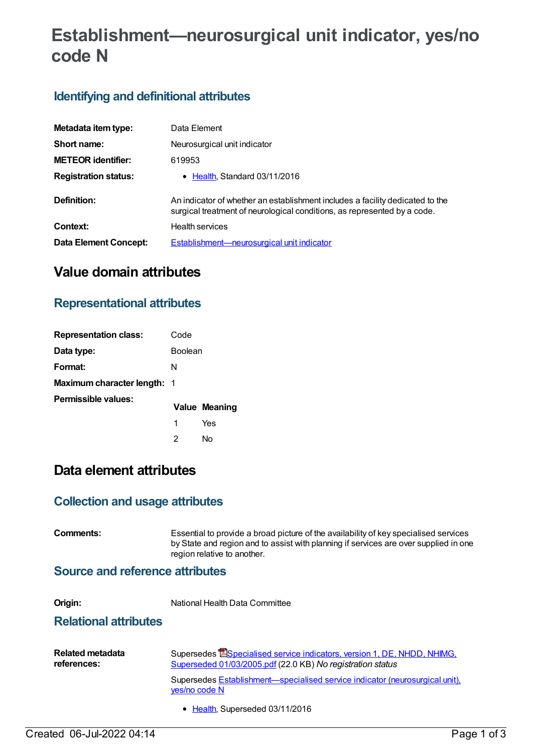# **Establishment—neurosurgical unit indicator, yes/no code N**

## **Identifying and definitional attributes**

| Metadata item type:         | Data Element                                                                                                                                              |
|-----------------------------|-----------------------------------------------------------------------------------------------------------------------------------------------------------|
| Short name:                 | Neurosurgical unit indicator                                                                                                                              |
| <b>METEOR identifier:</b>   | 619953                                                                                                                                                    |
| <b>Registration status:</b> | • Health, Standard 03/11/2016                                                                                                                             |
| Definition:                 | An indicator of whether an establishment includes a facility dedicated to the<br>surgical treatment of neurological conditions, as represented by a code. |
| Context:                    | <b>Health services</b>                                                                                                                                    |
| Data Element Concept:       | Establishment—neurosurgical unit indicator                                                                                                                |

# **Value domain attributes**

#### **Representational attributes**

| <b>Representation class:</b>       | Code           |                      |
|------------------------------------|----------------|----------------------|
| Data type:                         | <b>Boolean</b> |                      |
| Format:                            | N              |                      |
| <b>Maximum character length: 1</b> |                |                      |
| Permissible values:                |                | <b>Value Meaning</b> |
|                                    | 1              | Yes                  |
|                                    | 2              | Nο                   |

## **Data element attributes**

#### **Collection and usage attributes**

| Comments:                               | Essential to provide a broad picture of the availability of key specialised services<br>by State and region and to assist with planning if services are over supplied in one<br>region relative to another.                                                                              |  |
|-----------------------------------------|------------------------------------------------------------------------------------------------------------------------------------------------------------------------------------------------------------------------------------------------------------------------------------------|--|
| <b>Source and reference attributes</b>  |                                                                                                                                                                                                                                                                                          |  |
| Origin:<br><b>Relational attributes</b> | National Health Data Committee                                                                                                                                                                                                                                                           |  |
| <b>Related metadata</b><br>references:  | Supersedes <b>ESpecialised service indicators, version 1, DE, NHDD, NHIMG,</b><br>Superseded 01/03/2005.pdf (22.0 KB) No registration status<br>Supersedes <b>Establishment</b> —specialised service indicator (neurosurgical unit),<br>yes/no code N<br>• Health, Superseded 03/11/2016 |  |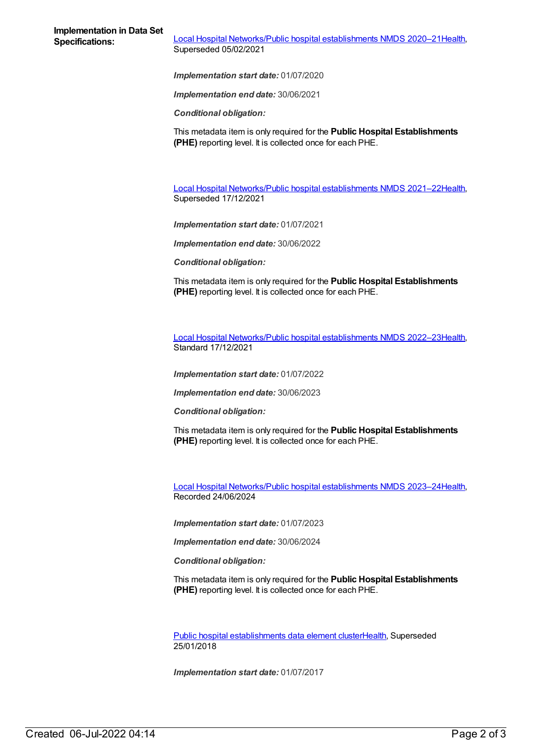**Specifications:** Local Hospital [Networks/Public](https://meteor.aihw.gov.au/content/713848) hospital establishments NMDS 2020–21[Health](https://meteor.aihw.gov.au/RegistrationAuthority/12), Superseded 05/02/2021

*Implementation start date:* 01/07/2020

*Implementation end date:* 30/06/2021

*Conditional obligation:*

This metadata item is only required for the **Public Hospital Establishments (PHE)** reporting level. It is collected once for each PHE.

Local Hospital [Networks/Public](https://meteor.aihw.gov.au/content/727356) hospital establishments NMDS 2021–22[Health](https://meteor.aihw.gov.au/RegistrationAuthority/12), Superseded 17/12/2021

*Implementation start date:* 01/07/2021

*Implementation end date:* 30/06/2022

*Conditional obligation:*

This metadata item is only required for the **Public Hospital Establishments (PHE)** reporting level. It is collected once for each PHE.

Local Hospital [Networks/Public](https://meteor.aihw.gov.au/content/742044) hospital establishments NMDS 2022–23[Health](https://meteor.aihw.gov.au/RegistrationAuthority/12), Standard 17/12/2021

*Implementation start date:* 01/07/2022

*Implementation end date:* 30/06/2023

*Conditional obligation:*

This metadata item is only required for the **Public Hospital Establishments (PHE)** reporting level. It is collected once for each PHE.

Local Hospital [Networks/Public](https://meteor.aihw.gov.au/content/756101) hospital establishments NMDS 2023–24[Health](https://meteor.aihw.gov.au/RegistrationAuthority/12), Recorded 24/06/2024

*Implementation start date:* 01/07/2023

*Implementation end date:* 30/06/2024

*Conditional obligation:*

This metadata item is only required for the **Public Hospital Establishments (PHE)** reporting level. It is collected once for each PHE.

Public hospital [establishments](https://meteor.aihw.gov.au/content/643172) data element cluste[rHealth](https://meteor.aihw.gov.au/RegistrationAuthority/12), Superseded 25/01/2018

*Implementation start date:* 01/07/2017